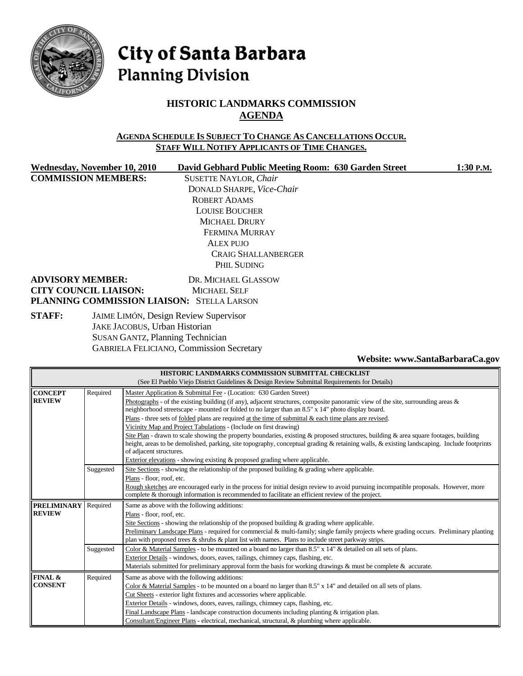

# City of Santa Barbara **Planning Division**

# **HISTORIC LANDMARKS COMMISSION AGENDA**

### **AGENDA SCHEDULE IS SUBJECT TO CHANGE AS CANCELLATIONS OCCUR. STAFF WILL NOTIFY APPLICANTS OF TIME CHANGES.**

**COMMISSION MEMBERS:** SUSETTE NAYLOR, *Chair*

Wednesday, November 10, 2010 David Gebhard Public Meeting Room: 630 Garden Street 1:30 P.M. DONALD SHARPE, *Vice-Chair* ROBERT ADAMS LOUISE BOUCHER MICHAEL DRURY FERMINA MURRAY ALEX PUJO CRAIG SHALLANBERGER PHIL SUDING

### **ADVISORY MEMBER:** DR. MICHAEL GLASSOW **CITY COUNCIL LIAISON:** MICHAEL SELF **PLANNING COMMISSION LIAISON:** STELLA LARSON

**STAFF:** JAIME LIMÓN, Design Review Supervisor JAKE JACOBUS, Urban Historian SUSAN GANTZ, Planning Technician GABRIELA FELICIANO, Commission Secretary

**Website: www.SantaBarbaraCa.gov** 

| HISTORIC LANDMARKS COMMISSION SUBMITTAL CHECKLIST                                            |           |                                                                                                                                            |  |  |  |  |
|----------------------------------------------------------------------------------------------|-----------|--------------------------------------------------------------------------------------------------------------------------------------------|--|--|--|--|
| (See El Pueblo Viejo District Guidelines & Design Review Submittal Requirements for Details) |           |                                                                                                                                            |  |  |  |  |
| <b>CONCEPT</b>                                                                               | Required  | Master Application & Submittal Fee - (Location: 630 Garden Street)                                                                         |  |  |  |  |
| <b>REVIEW</b>                                                                                |           | Photographs - of the existing building (if any), adjacent structures, composite panoramic view of the site, surrounding areas $\&$         |  |  |  |  |
|                                                                                              |           | neighborhood streetscape - mounted or folded to no larger than an 8.5" x 14" photo display board.                                          |  |  |  |  |
|                                                                                              |           | Plans - three sets of <u>folded</u> plans are required at the time of submittal $\&$ each time plans are revised.                          |  |  |  |  |
|                                                                                              |           | Vicinity Map and Project Tabulations - (Include on first drawing)                                                                          |  |  |  |  |
|                                                                                              |           | Site Plan - drawn to scale showing the property boundaries, existing & proposed structures, building & area square footages, building      |  |  |  |  |
|                                                                                              |           | height, areas to be demolished, parking, site topography, conceptual grading & retaining walls, & existing landscaping. Include footprints |  |  |  |  |
|                                                                                              |           | of adjacent structures.                                                                                                                    |  |  |  |  |
|                                                                                              |           | Exterior elevations - showing existing & proposed grading where applicable.                                                                |  |  |  |  |
|                                                                                              | Suggested | Site Sections - showing the relationship of the proposed building $\&$ grading where applicable.                                           |  |  |  |  |
|                                                                                              |           | Plans - floor, roof, etc.                                                                                                                  |  |  |  |  |
|                                                                                              |           | Rough sketches are encouraged early in the process for initial design review to avoid pursuing incompatible proposals. However, more       |  |  |  |  |
|                                                                                              |           | complete & thorough information is recommended to facilitate an efficient review of the project.                                           |  |  |  |  |
| <b>PRELIMINARY</b>                                                                           | Required  | Same as above with the following additions:                                                                                                |  |  |  |  |
| <b>REVIEW</b>                                                                                |           | Plans - floor, roof, etc.                                                                                                                  |  |  |  |  |
|                                                                                              |           | Site Sections - showing the relationship of the proposed building $\&$ grading where applicable.                                           |  |  |  |  |
|                                                                                              |           | Preliminary Landscape Plans - required for commercial & multi-family; single family projects where grading occurs. Preliminary planting    |  |  |  |  |
|                                                                                              |           | plan with proposed trees $\&$ shrubs $\&$ plant list with names. Plans to include street parkway strips.                                   |  |  |  |  |
|                                                                                              | Suggested | Color & Material Samples - to be mounted on a board no larger than 8.5" x 14" & detailed on all sets of plans.                             |  |  |  |  |
|                                                                                              |           | Exterior Details - windows, doors, eaves, railings, chimney caps, flashing, etc.                                                           |  |  |  |  |
|                                                                                              |           | Materials submitted for preliminary approval form the basis for working drawings & must be complete & accurate.                            |  |  |  |  |
| FINAL &                                                                                      | Required  | Same as above with the following additions:                                                                                                |  |  |  |  |
| <b>CONSENT</b>                                                                               |           | Color & Material Samples - to be mounted on a board no larger than 8.5" x 14" and detailed on all sets of plans.                           |  |  |  |  |
|                                                                                              |           | Cut Sheets - exterior light fixtures and accessories where applicable.                                                                     |  |  |  |  |
|                                                                                              |           | Exterior Details - windows, doors, eaves, railings, chimney caps, flashing, etc.                                                           |  |  |  |  |
|                                                                                              |           | Final Landscape Plans - landscape construction documents including planting $&$ irrigation plan.                                           |  |  |  |  |
|                                                                                              |           | Consultant/Engineer Plans - electrical, mechanical, structural, & plumbing where applicable.                                               |  |  |  |  |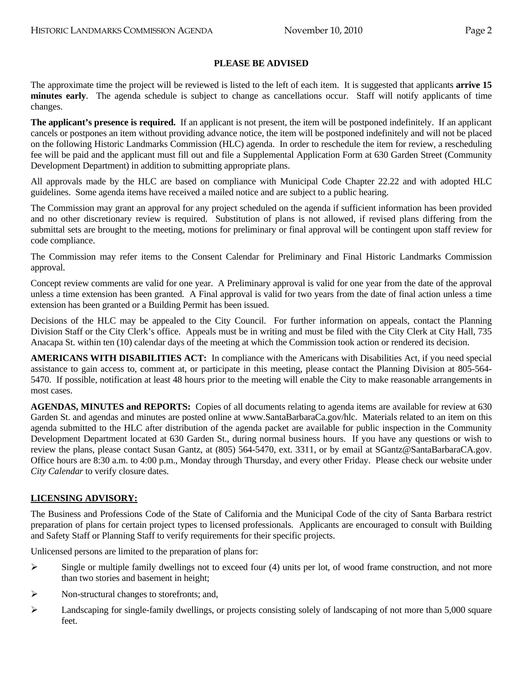### **PLEASE BE ADVISED**

The approximate time the project will be reviewed is listed to the left of each item. It is suggested that applicants **arrive 15 minutes early**. The agenda schedule is subject to change as cancellations occur. Staff will notify applicants of time changes.

**The applicant's presence is required.** If an applicant is not present, the item will be postponed indefinitely. If an applicant cancels or postpones an item without providing advance notice, the item will be postponed indefinitely and will not be placed on the following Historic Landmarks Commission (HLC) agenda. In order to reschedule the item for review, a rescheduling fee will be paid and the applicant must fill out and file a Supplemental Application Form at 630 Garden Street (Community Development Department) in addition to submitting appropriate plans.

All approvals made by the HLC are based on compliance with Municipal Code Chapter 22.22 and with adopted HLC guidelines. Some agenda items have received a mailed notice and are subject to a public hearing.

The Commission may grant an approval for any project scheduled on the agenda if sufficient information has been provided and no other discretionary review is required. Substitution of plans is not allowed, if revised plans differing from the submittal sets are brought to the meeting, motions for preliminary or final approval will be contingent upon staff review for code compliance.

The Commission may refer items to the Consent Calendar for Preliminary and Final Historic Landmarks Commission approval.

Concept review comments are valid for one year. A Preliminary approval is valid for one year from the date of the approval unless a time extension has been granted. A Final approval is valid for two years from the date of final action unless a time extension has been granted or a Building Permit has been issued.

Decisions of the HLC may be appealed to the City Council. For further information on appeals, contact the Planning Division Staff or the City Clerk's office. Appeals must be in writing and must be filed with the City Clerk at City Hall, 735 Anacapa St. within ten (10) calendar days of the meeting at which the Commission took action or rendered its decision.

**AMERICANS WITH DISABILITIES ACT:** In compliance with the Americans with Disabilities Act, if you need special assistance to gain access to, comment at, or participate in this meeting, please contact the Planning Division at 805-564- 5470. If possible, notification at least 48 hours prior to the meeting will enable the City to make reasonable arrangements in most cases.

**AGENDAS, MINUTES and REPORTS:** Copies of all documents relating to agenda items are available for review at 630 Garden St. and agendas and minutes are posted online at www.SantaBarbaraCa.gov/hlc. Materials related to an item on this agenda submitted to the HLC after distribution of the agenda packet are available for public inspection in the Community Development Department located at 630 Garden St., during normal business hours. If you have any questions or wish to review the plans, please contact Susan Gantz, at (805) 564-5470, ext. 3311, or by email at SGantz@SantaBarbaraCA.gov. Office hours are 8:30 a.m. to 4:00 p.m., Monday through Thursday, and every other Friday. Please check our website under *City Calendar* to verify closure dates.

### **LICENSING ADVISORY:**

The Business and Professions Code of the State of California and the Municipal Code of the city of Santa Barbara restrict preparation of plans for certain project types to licensed professionals. Applicants are encouraged to consult with Building and Safety Staff or Planning Staff to verify requirements for their specific projects.

Unlicensed persons are limited to the preparation of plans for:

- $\triangleright$  Single or multiple family dwellings not to exceed four (4) units per lot, of wood frame construction, and not more than two stories and basement in height;
- ¾ Non-structural changes to storefronts; and,
- $\blacktriangleright$  Landscaping for single-family dwellings, or projects consisting solely of landscaping of not more than 5,000 square feet.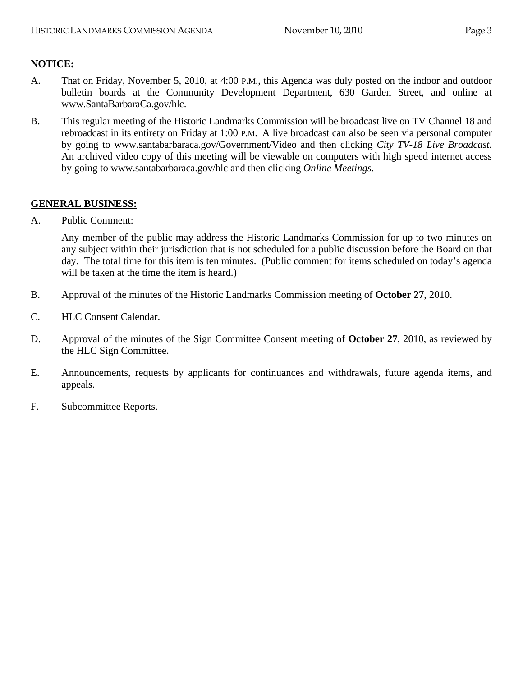# **NOTICE:**

- A. That on Friday, November 5, 2010, at 4:00 P.M., this Agenda was duly posted on the indoor and outdoor bulletin boards at the Community Development Department, 630 Garden Street, and online at www.SantaBarbaraCa.gov/hlc.
- B. This regular meeting of the Historic Landmarks Commission will be broadcast live on TV Channel 18 and rebroadcast in its entirety on Friday at 1:00 P.M. A live broadcast can also be seen via personal computer by going to www.santabarbaraca.gov/Government/Video and then clicking *City TV-18 Live Broadcast*. An archived video copy of this meeting will be viewable on computers with high speed internet access by going to www.santabarbaraca.gov/hlc and then clicking *Online Meetings*.

### **GENERAL BUSINESS:**

A. Public Comment:

Any member of the public may address the Historic Landmarks Commission for up to two minutes on any subject within their jurisdiction that is not scheduled for a public discussion before the Board on that day. The total time for this item is ten minutes. (Public comment for items scheduled on today's agenda will be taken at the time the item is heard.)

- B. Approval of the minutes of the Historic Landmarks Commission meeting of **October 27**, 2010.
- C. HLC Consent Calendar.
- D. Approval of the minutes of the Sign Committee Consent meeting of **October 27**, 2010, as reviewed by the HLC Sign Committee.
- E. Announcements, requests by applicants for continuances and withdrawals, future agenda items, and appeals.
- F. Subcommittee Reports.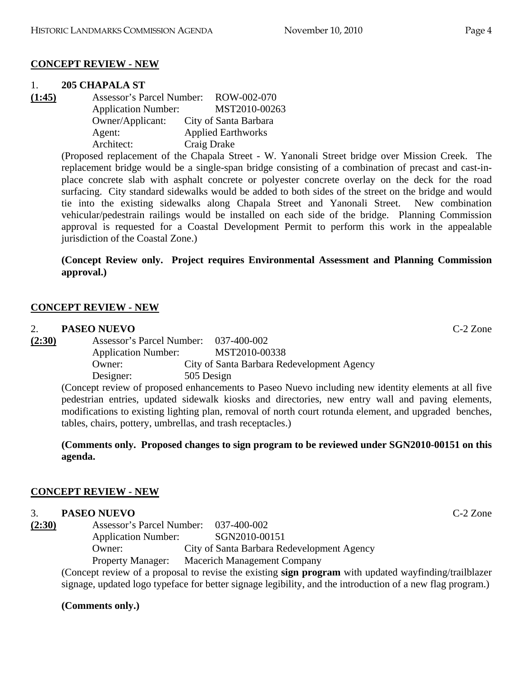### **CONCEPT REVIEW - NEW**

# 1. **205 CHAPALA ST**

**(1:45)** Assessor's Parcel Number: ROW-002-070 Application Number: MST2010-00263 Owner/Applicant: City of Santa Barbara Agent: Applied Earthworks Architect: Craig Drake

(Proposed replacement of the Chapala Street - W. Yanonali Street bridge over Mission Creek. The replacement bridge would be a single-span bridge consisting of a combination of precast and cast-inplace concrete slab with asphalt concrete or polyester concrete overlay on the deck for the road surfacing. City standard sidewalks would be added to both sides of the street on the bridge and would tie into the existing sidewalks along Chapala Street and Yanonali Street. New combination vehicular/pedestrain railings would be installed on each side of the bridge. Planning Commission approval is requested for a Coastal Development Permit to perform this work in the appealable jurisdiction of the Coastal Zone.)

# **(Concept Review only. Project requires Environmental Assessment and Planning Commission approval.)**

# **CONCEPT REVIEW - NEW**

# 2. **PASEO NUEVO** C-2 Zone

**(2:30)** Assessor's Parcel Number: 037-400-002 Application Number: MST2010-00338 Owner: City of Santa Barbara Redevelopment Agency Designer: 505 Design

(Concept review of proposed enhancements to Paseo Nuevo including new identity elements at all five pedestrian entries, updated sidewalk kiosks and directories, new entry wall and paving elements, modifications to existing lighting plan, removal of north court rotunda element, and upgraded benches, tables, chairs, pottery, umbrellas, and trash receptacles.)

## **(Comments only. Proposed changes to sign program to be reviewed under SGN2010-00151 on this agenda.**

# **CONCEPT REVIEW - NEW**

# 3. **PASEO NUEVO** C-2 Zone

| (2:30) | <b>Assessor's Parcel Number:</b> | 037-400-002                                |
|--------|----------------------------------|--------------------------------------------|
|        | <b>Application Number:</b>       | SGN2010-00151                              |
|        | $O$ wner:                        | City of Santa Barbara Redevelopment Agency |
|        | <b>Property Manager:</b>         | <b>Macerich Management Company</b>         |

(Concept review of a proposal to revise the existing **sign program** with updated wayfinding/trailblazer signage, updated logo typeface for better signage legibility, and the introduction of a new flag program.)

# **(Comments only.)**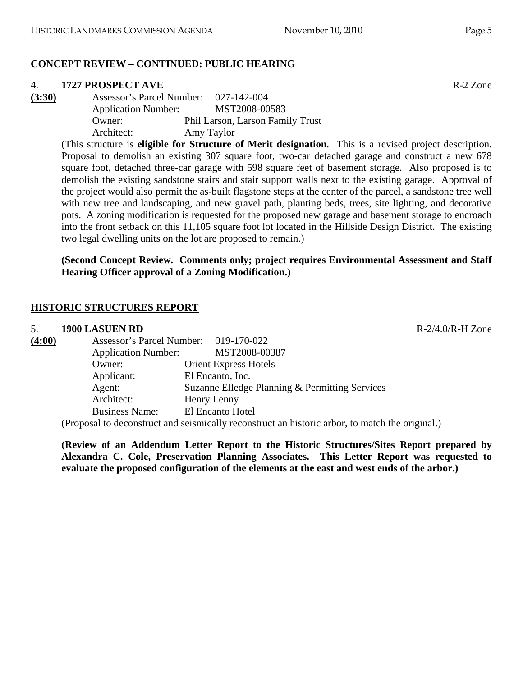### **CONCEPT REVIEW – CONTINUED: PUBLIC HEARING**

#### 4. **1727 PROSPECT AVE** R-2 Zone

**(3:30)** Assessor's Parcel Number: 027-142-004 Application Number: MST2008-00583 Owner: Phil Larson, Larson Family Trust Architect: Amy Taylor

> (This structure is **eligible for Structure of Merit designation**. This is a revised project description. Proposal to demolish an existing 307 square foot, two-car detached garage and construct a new 678 square foot, detached three-car garage with 598 square feet of basement storage. Also proposed is to demolish the existing sandstone stairs and stair support walls next to the existing garage. Approval of the project would also permit the as-built flagstone steps at the center of the parcel, a sandstone tree well with new tree and landscaping, and new gravel path, planting beds, trees, site lighting, and decorative pots. A zoning modification is requested for the proposed new garage and basement storage to encroach into the front setback on this 11,105 square foot lot located in the Hillside Design District. The existing two legal dwelling units on the lot are proposed to remain.)

### **(Second Concept Review. Comments only; project requires Environmental Assessment and Staff Hearing Officer approval of a Zoning Modification.)**

### **HISTORIC STRUCTURES REPORT**

| 5.     | 1900 LASUEN RD                        |                                                                                                              | $R-2/4.0/R-H$ Zone |
|--------|---------------------------------------|--------------------------------------------------------------------------------------------------------------|--------------------|
| (4:00) | Assessor's Parcel Number: 019-170-022 |                                                                                                              |                    |
|        | <b>Application Number:</b>            | MST2008-00387                                                                                                |                    |
|        | Owner:                                | <b>Orient Express Hotels</b>                                                                                 |                    |
|        | Applicant:                            | El Encanto, Inc.                                                                                             |                    |
|        | Agent:                                | Suzanne Elledge Planning & Permitting Services                                                               |                    |
|        | Architect:                            | Henry Lenny                                                                                                  |                    |
|        | <b>Business Name:</b>                 | El Encanto Hotel                                                                                             |                    |
|        |                                       | (Decreased to decorrect metas designated by moon structure to detection and can be moteled that on other $1$ |                    |

(Proposal to deconstruct and seismically reconstruct an historic arbor, to match the original.)

**(Review of an Addendum Letter Report to the Historic Structures/Sites Report prepared by Alexandra C. Cole, Preservation Planning Associates. This Letter Report was requested to evaluate the proposed configuration of the elements at the east and west ends of the arbor.)**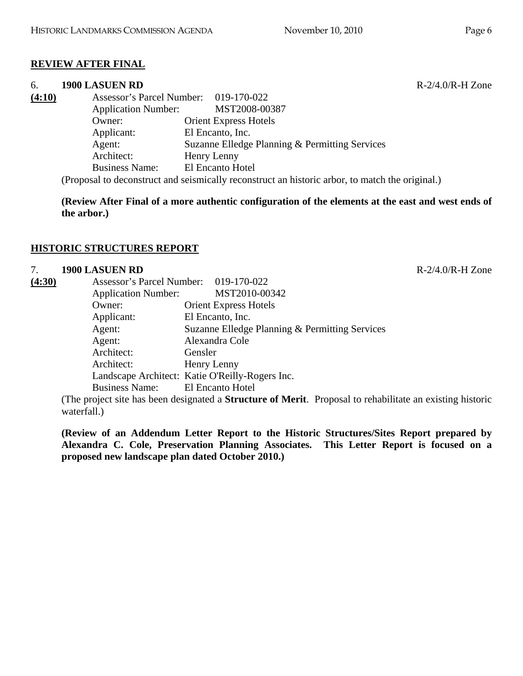# **REVIEW AFTER FINAL**

### 6. **1900 LASUEN RD** R-2/4.0/R-H Zone

| (4:10) | Assessor's Parcel Number: 019-170-022 |                                                                                                                                                                                                                                                         |
|--------|---------------------------------------|---------------------------------------------------------------------------------------------------------------------------------------------------------------------------------------------------------------------------------------------------------|
|        | <b>Application Number:</b>            | MST2008-00387                                                                                                                                                                                                                                           |
|        | Owner:                                | <b>Orient Express Hotels</b>                                                                                                                                                                                                                            |
|        | Applicant:                            | El Encanto, Inc.                                                                                                                                                                                                                                        |
|        | Agent:                                | Suzanne Elledge Planning & Permitting Services                                                                                                                                                                                                          |
|        | Architect:                            | Henry Lenny                                                                                                                                                                                                                                             |
|        | <b>Business Name:</b>                 | El Encanto Hotel                                                                                                                                                                                                                                        |
|        |                                       | $(D_{\text{new}} \cup D_{\text{new}})$ and $D_{\text{new}}$ are constant of the second constant of the second contract of the second state of the second state of the second state of the second state of the second state of the second state of the s |

(Proposal to deconstruct and seismically reconstruct an historic arbor, to match the original.)

**(Review After Final of a more authentic configuration of the elements at the east and west ends of the arbor.)** 

# **HISTORIC STRUCTURES REPORT**

# 7. **1900 LASUEN RD** R-2/4.0/R-H Zone

| (4:30) | Assessor's Parcel Number: 019-170-022 |                                                 |  |
|--------|---------------------------------------|-------------------------------------------------|--|
|        | <b>Application Number:</b>            | MST2010-00342                                   |  |
|        | Owner:                                | <b>Orient Express Hotels</b>                    |  |
|        | Applicant:                            | El Encanto, Inc.                                |  |
|        | Agent:                                | Suzanne Elledge Planning & Permitting Services  |  |
|        | Agent:                                | Alexandra Cole                                  |  |
|        | Architect:                            | Gensler                                         |  |
|        | Architect:                            | Henry Lenny                                     |  |
|        |                                       | Landscape Architect: Katie O'Reilly-Rogers Inc. |  |
|        | Business Name: El Encanto Hotel       |                                                 |  |
|        |                                       |                                                 |  |

(The project site has been designated a **Structure of Merit**. Proposal to rehabilitate an existing historic waterfall.)

**(Review of an Addendum Letter Report to the Historic Structures/Sites Report prepared by Alexandra C. Cole, Preservation Planning Associates. This Letter Report is focused on a proposed new landscape plan dated October 2010.)**